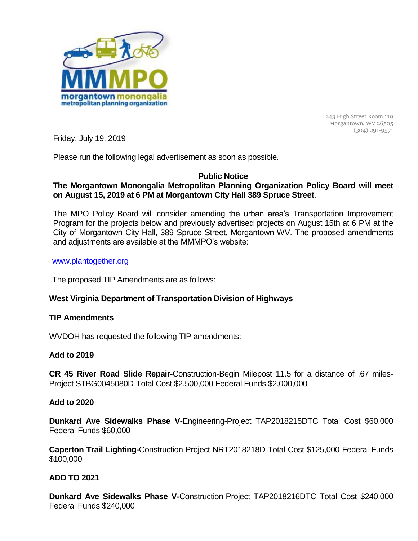

243 High Street Room 110 Morgantown, WV 26505 (304) 291-9571

Friday, July 19, 2019

Please run the following legal advertisement as soon as possible.

### **Public Notice**

# **The Morgantown Monongalia Metropolitan Planning Organization Policy Board will meet on August 15, 2019 at 6 PM at Morgantown City Hall 389 Spruce Street**.

The MPO Policy Board will consider amending the urban area's Transportation Improvement Program for the projects below and previously advertised projects on August 15th at 6 PM at the City of Morgantown City Hall, 389 Spruce Street, Morgantown WV. The proposed amendments and adjustments are available at the MMMPO's website:

#### [www.plantogether.org](http://www.plantogether.org/)

The proposed TIP Amendments are as follows:

## **West Virginia Department of Transportation Division of Highways**

#### **TIP Amendments**

WVDOH has requested the following TIP amendments:

## **Add to 2019**

**CR 45 River Road Slide Repair-**Construction-Begin Milepost 11.5 for a distance of .67 miles-Project STBG0045080D-Total Cost \$2,500,000 Federal Funds \$2,000,000

#### **Add to 2020**

**Dunkard Ave Sidewalks Phase V-**Engineering-Project TAP2018215DTC Total Cost \$60,000 Federal Funds \$60,000

**Caperton Trail Lighting-**Construction-Project NRT2018218D-Total Cost \$125,000 Federal Funds \$100,000

## **ADD TO 2021**

**Dunkard Ave Sidewalks Phase V-**Construction-Project TAP2018216DTC Total Cost \$240,000 Federal Funds \$240,000